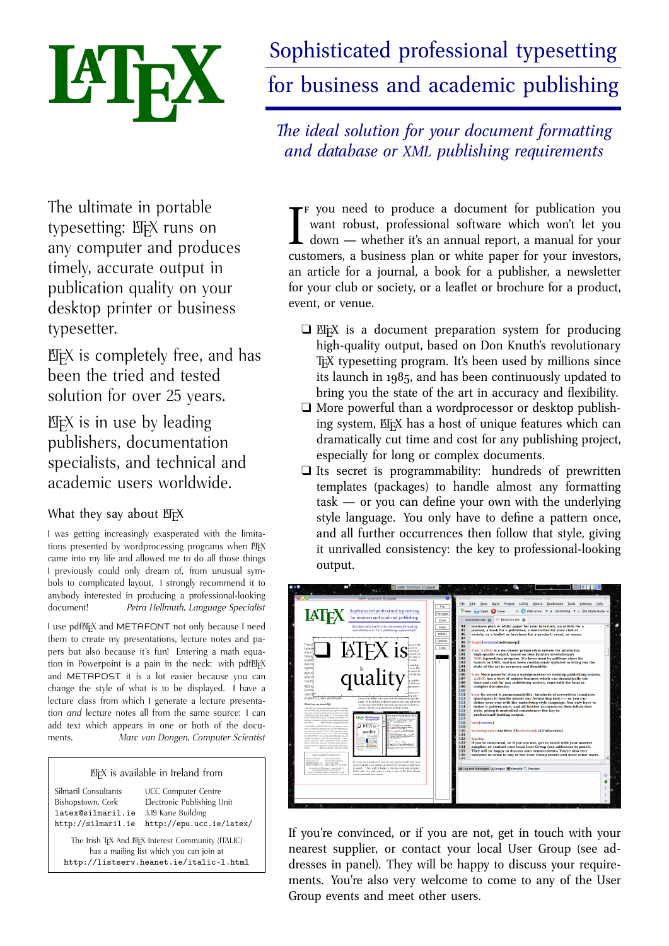

# Sophisticated professional typesetting for business and academic publishing

*The ideal solution for your document formatting and database or XML publishing requirements*

The ultimate in portable typesetting: EFX runs on any computer and produces timely, accurate output in publication quality on your desktop printer or business typesetter.

 $E$ F $X$  is completely free, and has been the tried and tested solution for over 25 years.

 $E/FX$  is in use by leading publishers, documentation specialists, and technical and academic users worldwide.

# What they say about EFX

I was getting increasingly exasperated with the limitations presented by wordprocessing programs when EFX came into my life and allowed me to do all those things I previously could only dream of, from unusual symbols to complicated layout. I strongly recommend it to anybody interested in producing a professional-looking document! *Petra Hellmuth, Language Specialist*

I use pdfEFX and METAFONT not only because I need them to create my presentations, lecture notes and papers but also because it's fun! Entering a math equation in Powerpoint is a pain in the neck: with pdfLTFX and METAPOST it is a lot easier because you can change the style of what is to be displayed. I have a lecture class from which I generate a lecture presentation *and* lecture notes all from the same source: I can add text which appears in one or both of the documents. *Marc van Dongen, Computer Scientist*

#### LATEX is available in Ireland from

| Silmaril Consultants                               | <b>UCC Computer Centre</b> |  |  |
|----------------------------------------------------|----------------------------|--|--|
| Bishopstown, Cork                                  | Electronic Publishing Unit |  |  |
| latex@silmaril.ie                                  | 3.19 Kane Building         |  |  |
| http://silmaril.ie                                 | http://epu.ucc.ie/latex/   |  |  |
| The Irish TrX And ETrX Interest Community (ITALIC) |                            |  |  |

The Irish T<sub>E</sub>X And ET<sub>E</sub>X Interest Community (ITALIC)<br>has a mailing list which you can join at http://listserv.heanet.ie/italic-l.html

I f you need to produce a document for publication you want robust, professional software which won't let you down — whether it's an annual report, a manual for your customers, a business plan or white paper for your investors, an article for a journal, a book for a publisher, a newsletter for your club or society, or a leaflet or brochure for a product, event, or venue.

- $\Box$  EEX is a document preparation system for producing high-quality output, based on Don Knuth's revolutionary TEX typesetting program. It's been used by millions since its launch in 1985, and has been continuously updated to bring you the state of the art in accuracy and flexibility.
- $\Box$  More powerful than a wordprocessor or desktop publishing system, EFX has a host of unique features which can dramatically cut time and cost for any publishing project, especially for long or complex documents.
- $\Box$  Its secret is programmability: hundreds of prewritten templates (packages) to handle almost any formatting task — or you can define your own with the underlying style language. You only have to define a pattern once, and all further occurrences then follow that style, giving it unrivalled consistency: the key to professional-looking output.

| Sophisticated professional typesetting<br>for business and academic publishing<br>The ideal solution for your document formatting<br>and database or XML publishing requirements<br>The u<br>when wound<br>o denomina<br>types<br>astomers.<br>any c<br>article for<br>timel:<br>ar club or<br>publi<br>versue.<br>desktı<br>scing high<br>types<br>onary TEX<br>quali<br>is since its<br>REX R<br>ed to bring<br>been<br>p publish-<br>soluti<br>which can<br><b>KTEX is</b><br>te reciect.<br>publi<br><b>Column Avenue</b><br>speci<br>ing took<br>academic users worldwide.<br>or you can deline your own with the underlying style lan-<br>guage. You only have to define a pattern once, and all further<br>What they say about BijX<br>occurrences then follow that style, giving it preivalled con-<br>sistency: the key to professional-looking output.<br>I was getting increasingly exagerated with the Limita-<br>tions presented by words oceaning programs when B[A]<br>came into my life and abound me to do all those things.<br>I previously could only dearn of, from unusual sym-<br><b>IATPX MANIFESTAN</b><br>bols to complicated leves). I strengly recommend it to<br>median kompon<br>erybody interested in producing a professional footing.<br>Convention<br>Patra Hellmark Longwood Seachdrat<br>document<br><b>MTFX</b> is \<br>Low will be and METHECKE restablishments intered<br><b><i><u>Alexandria</u></i></b><br>then to onste my presentations, lecture nates and pe-<br>quality -<br>pers but also because it's furt. Extering a rooth equa-<br><b>Contract Contract</b><br>tion in Rowmpoint is a pain in the neds with politics<br>and METHOST is is a bit mean because you can<br><b>Services Service</b><br>فتتحير<br>change the style of what is to be displayed. I have a<br>brokura class from which I appraisals a locking manager.<br><b>Read of</b><br>tation and lecture notes all from the same sources. If<br><b>CARD COMPANY</b><br>can add lest which appears in one or both of the docur-<br><b>ARTISTICS</b><br>Mac von Donam, Computer Scientist<br>mares.<br>42505657<br>BuX is avoilable in Ireland from<br><b>UCC Computer Center</b><br><b>Meant Constitutes</b><br><b>Bellrow Palohire Unit</b><br><b>Buharakan Cols</b><br>If you're convinced, or if you are not, get in touch with your<br>Interbiliari).in<br>3.20 King Bulleting<br>nearest supplier, or contact your local User Group (secuddresses<br>http://silms:1.1e http://eps.occ.1e/lates<br>in panel). They will be happy to discuss your requirements.<br>The trut for and Bitchmann Communications C.<br>has a maling intrahidy you can join a<br>You're also very welcome to come to any of the User Group.<br>http://listery.henet.ie/italic-1.bod<br>events and meet other users. | <b>Bookmarks</b><br>File<br>Edit<br><b>Build</b><br>Project<br>LaTeX<br>Wizard<br><b>Tools</b><br>Help<br>View<br>Settings<br>File<br>o<br>» PDFLaTeX v » Sectioning v » f(x) Math Mode »<br>Close<br><b>New</b><br>Open<br>Navigate<br>brochure.tex 30<br>auickstart.tex at<br>Zoom<br>94<br>business plan or white paper for your investors, an article for a<br>Mark<br>95<br>journal, a book for a publisher, a newsletter for your club or<br>96<br>Modes<br>society, or a leaflet or brochure for a product, event, or venue.<br>97<br>Options<br>98<br><b>Vbegin</b> fitemize Hnoitemsepi<br>99<br>Help<br>100<br>Vitem <i>\LaTeX</i> \ is a document preparation system for producing<br>101<br>high-quality output, based on Don Knuth's revolutionary<br>102<br><b>VIeX</b> ) typesetting program. It's been used by millions since its<br>103<br>launch in 1985, and has been continuously updated to bring you the<br>104<br>state of the art in accuracy and flexibility.<br>105<br>106<br>litem More powerful than a wordprocessor or desktop publishing system.<br>107<br><b>LaTeX</b> has a host of unique features which can dramatically cut<br>108<br>time and cost for any publishing project, especially for long or<br>109<br>complex documents.<br>110<br>111<br>\item Its secret is programmability: hundreds of prewritten templates<br>112<br>(packages) to handle almost any formatting task---- or you can<br>113<br>define your own with the underlying style language. You only have to<br>114<br>define a pattern once, and all further occurrences then follow that<br>115<br>style, giving it unrivalled consistency: the key to<br>116<br>professional-looking output.<br>117<br>118<br>lend (itemize)<br>119<br>120<br>\includegraphics{width=.58\columnwidth}{fullscreen}<br>121<br>122<br><b><i><u>biaskip</u></i></b><br>123<br>If you're convinced, or if you are not, get in touch with your nearest<br>124<br>supplier, or contact your local User Group (see addresses in panel).<br>125<br>They will be happy to discuss your requirements. You're also very<br>126<br>welcome to come to any of the User Group events and meet other users.<br>127<br>Log and Messages of Output E Konsole C. Preview |
|-----------------------------------------------------------------------------------------------------------------------------------------------------------------------------------------------------------------------------------------------------------------------------------------------------------------------------------------------------------------------------------------------------------------------------------------------------------------------------------------------------------------------------------------------------------------------------------------------------------------------------------------------------------------------------------------------------------------------------------------------------------------------------------------------------------------------------------------------------------------------------------------------------------------------------------------------------------------------------------------------------------------------------------------------------------------------------------------------------------------------------------------------------------------------------------------------------------------------------------------------------------------------------------------------------------------------------------------------------------------------------------------------------------------------------------------------------------------------------------------------------------------------------------------------------------------------------------------------------------------------------------------------------------------------------------------------------------------------------------------------------------------------------------------------------------------------------------------------------------------------------------------------------------------------------------------------------------------------------------------------------------------------------------------------------------------------------------------------------------------------------------------------------------------------------------------------------------------------------------------------------------------------------------------------------------------------------------------------------------------------------------------------------------------------------------------------------------------------------------------------------------------------------------------------------------------------------------------------------------------------------------------------------------------------------------------------------------------------------------------------------------------------------------------------------------------|---------------------------------------------------------------------------------------------------------------------------------------------------------------------------------------------------------------------------------------------------------------------------------------------------------------------------------------------------------------------------------------------------------------------------------------------------------------------------------------------------------------------------------------------------------------------------------------------------------------------------------------------------------------------------------------------------------------------------------------------------------------------------------------------------------------------------------------------------------------------------------------------------------------------------------------------------------------------------------------------------------------------------------------------------------------------------------------------------------------------------------------------------------------------------------------------------------------------------------------------------------------------------------------------------------------------------------------------------------------------------------------------------------------------------------------------------------------------------------------------------------------------------------------------------------------------------------------------------------------------------------------------------------------------------------------------------------------------------------------------------------------------------------------------------------------------------------------------------------------------------------------------------------------------------------------------------------------------------------------------------------------------------------------------------------------------------------------------------------------------------------------------------------------------------------------------------------------------------------------------------|
|-----------------------------------------------------------------------------------------------------------------------------------------------------------------------------------------------------------------------------------------------------------------------------------------------------------------------------------------------------------------------------------------------------------------------------------------------------------------------------------------------------------------------------------------------------------------------------------------------------------------------------------------------------------------------------------------------------------------------------------------------------------------------------------------------------------------------------------------------------------------------------------------------------------------------------------------------------------------------------------------------------------------------------------------------------------------------------------------------------------------------------------------------------------------------------------------------------------------------------------------------------------------------------------------------------------------------------------------------------------------------------------------------------------------------------------------------------------------------------------------------------------------------------------------------------------------------------------------------------------------------------------------------------------------------------------------------------------------------------------------------------------------------------------------------------------------------------------------------------------------------------------------------------------------------------------------------------------------------------------------------------------------------------------------------------------------------------------------------------------------------------------------------------------------------------------------------------------------------------------------------------------------------------------------------------------------------------------------------------------------------------------------------------------------------------------------------------------------------------------------------------------------------------------------------------------------------------------------------------------------------------------------------------------------------------------------------------------------------------------------------------------------------------------------------------------------|---------------------------------------------------------------------------------------------------------------------------------------------------------------------------------------------------------------------------------------------------------------------------------------------------------------------------------------------------------------------------------------------------------------------------------------------------------------------------------------------------------------------------------------------------------------------------------------------------------------------------------------------------------------------------------------------------------------------------------------------------------------------------------------------------------------------------------------------------------------------------------------------------------------------------------------------------------------------------------------------------------------------------------------------------------------------------------------------------------------------------------------------------------------------------------------------------------------------------------------------------------------------------------------------------------------------------------------------------------------------------------------------------------------------------------------------------------------------------------------------------------------------------------------------------------------------------------------------------------------------------------------------------------------------------------------------------------------------------------------------------------------------------------------------------------------------------------------------------------------------------------------------------------------------------------------------------------------------------------------------------------------------------------------------------------------------------------------------------------------------------------------------------------------------------------------------------------------------------------------------------|

If you're convinced, or if you are not, get in touch with your nearest supplier, or contact your local User Group (see addresses in panel). They will be happy to discuss your requirements. You're also very welcome to come to any of the User Group events and meet other users.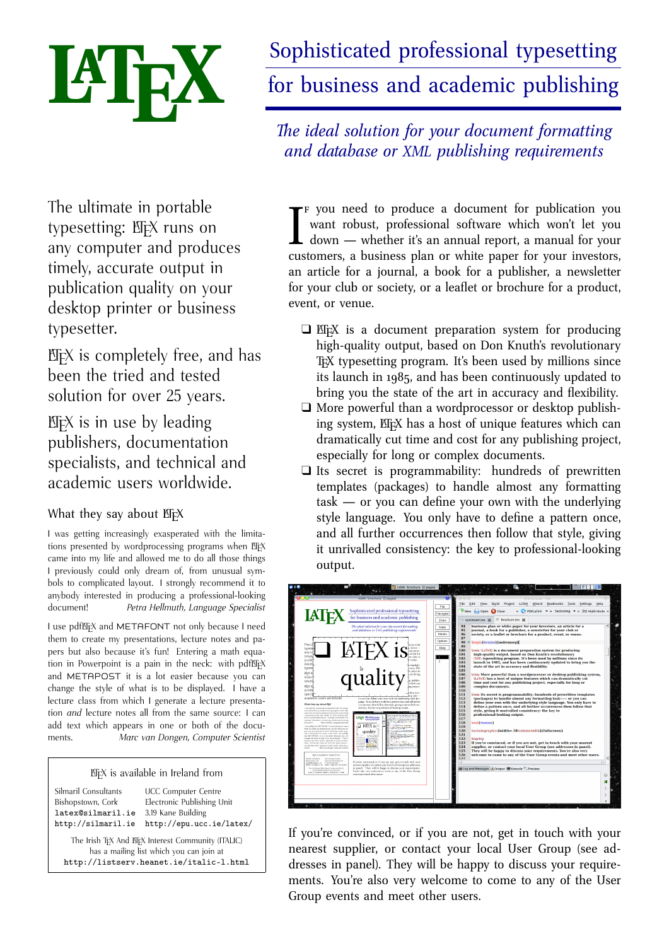# **Publishing with LIFX**

Could your next report, white paper, article, book, paper, review, or essay benefit from using EIFX? Do you need to be able to exchange documents with colleagues using other types of computer, without loss of formatting?

- $\Box$  Default styles give you immediate, automatic draft formatting for common types of document.
- $\Box$  Powerful automation features handle cross-references, bibliographic citations, tables of contents, indexes, and glossaries with ease.
- $\Box$  Automated formatting of formulae, designed by one of the world's leading computer scientists.
- $\Box$  Industry-standard Acrobat (PDF) and PostScript (ps) output.
- $\Box$  Available in Open Source and commercial versions.
- $\Box$  Strongly supported via the Internet, with user groups in many countries, and by business-level consultants and vendors.
- $\Box$  Huge range of fonts and languages supported, with floating and fixed accents, hyphenation, and languagebased typographic rules.
- $\Box$  Journal and book style files available from leading publishers.
- $\Box$  Available on almost all platforms: ppas, smartphones, and tablets; laptops and desktops; minicomputers, mainframes, and supercomputers.
- $\Box$  Completely portable between systems — document files are all plain Unicode and can be edited and processed on any supported platform.

# **Mathematics**

Automated mathematical formatting uses a symbolic notation, regardless of complexity. Spacing and sizing is done to mathematicians' standards, so this:

```
E(n_{g+1})'|n_i',n_i'';\lambda_1\leq i\leq g)=(N'-1)N_g')\left[1-\left\{\left(1-\frac{c}
{cN'+N''}\right)^{n_g'd}\left(1-\frac{c}
{cN'': N'': \r_1, \r_2, \r_3 \r_4} \right)\right\} \rightarrow 0
```
results in the equation below. Graphical  $EIFX$ -based systems such as  $LYX$  and *Scientific Word* have built-in equation editors for constructing expressions with the mouse and menus.

# **Typefaces**

Whether you're using Windows or Unix (including Apple Mac OS X and GNU/Linux systems), standard EEX works with any Type 1 outline (PostScript) or Type 3 bitmap (METAFONT). Using the XIELX processor (included on the DVD), you can also use all your TrueType and OpenType fonts. This gives you access to tens of thousands of typefaces, both free and commercial.

The standard Adobe '35' core PostScript fonts (Times, Palatino, Century Schoolbook, Helvetica, Zapf Calligraphic. etc) are provided by default; with the mathematics fonts of Computer Modern, Euler, Concrete, and Times; and a range of decorative and specialist typefaces for technical, linguistic, and literary typesetting.

#### - 

 !"\$#%

| <b>The Historical Collection</b> |                                                                                                      |  |
|----------------------------------|------------------------------------------------------------------------------------------------------|--|
| <b>Cypriot</b>                   | IY‡MXIX‡NXX ©IV ©IFXYX YXTXYX ZMIVXIXXFIXX                                                           |  |
| <b>Éireannach</b>                | 11.21 don tinte an man oo tinte an pein                                                              |  |
| <b>Etruscan</b>                  | T1014A1BIA A43 A4TIYM OMYIYM OY3E4AT4IX                                                              |  |
| Linear 'B'                       | ╪1000 1000 1000 1000 1000 1000 10000 10000 10000 1000 1000 1000 1000 1000 1000 1000 1000 1000 1000 1 |  |
| <b>Phoenician</b>                | 11011<1BI< >1W >11I~ 0~11I~ 01W31Y <t1i< th=""><th></th></t1i<>                                      |  |
| <b>Runic</b>                     | TIKRXRMKHIM MRU MRTINM RMHINM RHUMRMTRIY                                                             |  |
| <b>Rustic</b>                    | IYPOGRAPHIA ARS ARIIUM OMNIUM CONSERVAIRIX                                                           |  |
| <b>Bard</b>                      | <b>MAQUINITY OR AND AND AND AN ADDITIONAL CONTRATION</b>                                             |  |
| <b>Uncial</b>                    | $\tau_{\hat{\mathbf{Y}}}$ ρος phia a ps a prium Omnium Consepoatpi $\mathbf{x}$                      |  |
| <b>Dürer</b>                     | ABCDEFGHIJKLMNOPQRSTUVWXYZ                                                                           |  |
| Ogham                            | <del>╖╶╙╶</del> ╫╌╫<br><del>-m -<sup>m</sup> -/// -llll -m -<sup>mn</sup> -////</del>                |  |
| <b>Ugaritic Cuneiform</b>        | ╇╫╒ <sup>╻</sup> ╠╙╒╞╞╙╠╜╠╿╠╍╞ <b>╒┦┥┩╨╞╓┩┉╿╠╨╺╠</b>                                                 |  |
| The Symbol Collection            |                                                                                                      |  |
| <b>Chess</b>                     | <b>Backgammon</b><br>$\circ$ WW $\circ$                                                              |  |
| <b>Astronomical</b>              | O Y ? 8 8 4 h & # P C Y Y I @ Q m A m, / 3 m H                                                       |  |
| <b>Cartography</b>               |                                                                                                      |  |
| <b>BB</b> Dingbats               | <b>'≍%@≤©⊙Y0\$⊹☆**</b> **********®*○□□▼☎∅↔ <del>}</del> ¤;                                           |  |
| <b>Barcodes</b>                  | <b>HILLIN</b>                                                                                        |  |
| Logic symbols                    | ₽QQU₽ÛQQ₽QQYQYQY¤₹₹₹₹                                                                                |  |
| Genealogy                        | $900* + 100*$                                                                                        |  |
| <b>The Non-Latin Collection</b>  |                                                                                                      |  |
| IPA.                             | αβεδεφγδιίκ Δηηρ? Υπίθυντα για αβεδεφγδιίκ Απηρ? Υπίθυντα για                                        |  |
| Quenya                           | ثَمْ الْمَوْلِومِ وَالْمُسْتَوَامِعِينَ وَالْمُجْرَمِينَ وَالْمُسْتَوَامِعِينَ وَالْمُجْمَعِينَ وَال |  |
| Cree/Inuktitut                   | $155551$ 55 SCF FRF - 255865                                                                         |  |
| The Other Scripts Collection     |                                                                                                      |  |
| <b>Calligraphic</b>              | Typographia As Atium Omnium Conservatrix                                                             |  |
| <b>Fraktur</b>                   | Alles Bergängliche ift nur ein Gleichnis / Das Unzulängliche hier wird's Ereignis;                   |  |
| <b>Schwabacher</b>               | Das Unbeschreibliche hier wird's netan / Das Ewin-Weibliche zieht uns hinan:                         |  |
| 'Gothic'                         | If it plete our man tpicituel or tempeel to bre any pres of two and thre comemoraciós                |  |
| <b>Decorative Initials</b>       |                                                                                                      |  |

Non-Latin types include Japanese, Chinese, Devanagari, Urdu, Thai, Vietnamese, Coptic, Cyrillic, Greek, and many other languages and alphabets, including mixed bi-directional Arabic and Hebrew. Extensive user group coverage world-wide provides native-language support for non-Latin typesetting.

The fontmaking programs METAFONT and METAPOST come with all TEX systems for designing and implementing your own typefaces or special symbols.

The calculations of the underlying TEX formatting engine are very precise: it works internally in microunits smaller than the wavelength of visible light (53.6Å), resulting in great accuracy in positioning. LTFX can use any mixture of Anglo-American, Didot, or Adobe points, or metric or imperial units.

 $(10.57)$ 

 $\overline{\phantom{a}}$ 

$$
E(n'_{g+1}jn'_i, n''_i; 1 \quad i \quad g) = (N' \quad N'_g) \left[1 \quad \left\{ \left(1 \quad \frac{c}{cN'+N''}\right)^{n'_gd} \left(1 \quad \frac{c}{cN''+N'}\right)^{n''_g d} \right\} \right]
$$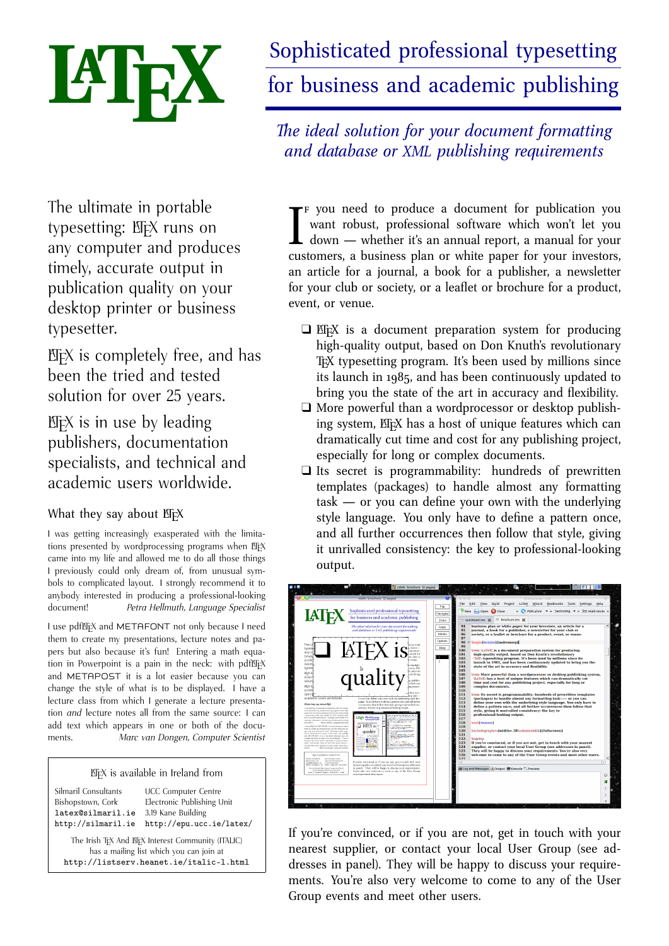#### **Tables**

 $E$ F $K$ 's tables and figures follow the standard publishers' practice of 'floating', so if there is no room on the current page, they automatically float to the next. Automated crossreferencing means that tables and figures can be moved around the document and will always renumber themselves and all their references.

Table 6.2: cases for which the Quantile and Kemsley's methods were impossible, classified by the size of σ

| $\sigma$                                  | Method of<br>quantiles |                | Kemsley's<br>method |        | Total no. of<br>samples |
|-------------------------------------------|------------------------|----------------|---------------------|--------|-------------------------|
|                                           | 5%                     | 10%            | 5%                  | $10\%$ | available               |
| $0.2 - 0.4$<br>$0.5 - 0.7$<br>$0.8 - 1.0$ |                        | $\mathbf{1}$   | $\overline{2}$      | 15     | 20<br>22<br>23          |
| All samples                               | $\overline{2}$         | $\overline{2}$ | 4                   | 23     | 65                      |

After Aitchison, J. and J.A.C. Brown, *The Lognormal Distribution*, CUP, 1976, p. 62.

There are powerful tabular controls for both simple and complex designs, with fixed or auto-adjusting spacing which can be very precisely aligned to provide better visual appeal. Formal tables and Figures are automatically numbered, and

can be captioned, labelled, crossreferenced, and included in a List of Tables and List of Figures.

Complex tabular matter can span pages and can be printed landscape while retaining the portrait orientation of the caption and pagenumber. Simple tabular matter can appear anywhere, without being a formal numbered table.

#### **Crossreferences**

I find EFX a powerful instrument for generating elaborate typographic layouts quickly and reliably. They are available for revision for years afterwards, without worries about software versions or compatibility. EFX is demanding in its requirements but it relieves me of any concern about the finished project. *Séamus Ó Direáin, Lexicographer*

The crossreferencing features let you name anything you want to refer to (table, figure, section, chapter, page, item, etc), and then use that name anywhere in the document. This lets each crossreference automatically update its location so that no matter how much you edit the text, the references remain correct. The same method is used for automated indexing, glossary, table of contents, list of figures, list of tables, and bibliographic references.

The BIBTEX bibliographic database lets you store references separately from documents, and the BIBEIFX system extracts and automatically formats them to any of the standard styles, including numeric, in-text, footnotes, or endnotes.

#### **Figures and illustrations**

Figures can contain textual or graphical illustrations. Pictures can be included with scaling, rotation, and clipping, using industry standard PDF or EPS vector formats for diagrams, or PNG or JPG bitmaps for pictures.



After R.J. Bull, *Accounting in Business*, Butterworths, 2nd. ed., 1972, p. 191.

LATEX also has its own CAD-like vector language for simple diagrams, and there are packages for typesetting music, electronic circuits, flowcharts, and other graphical notations.



Ion from collection of Don Knuth (artist unknown)

#### **Documentation**

Flynn, P. (2005). *Formatting information — a beginner's guide to*  $E\ddot{I}EX2\varepsilon$  *(3.6)* ed.). http://www.ctan.org/tex-archive/info/beginlatex/: Silmaril Consultants.

Goossens, M., & Rahtz, S. (1999). The EIEX Web companion. Reading, MA: Addison-Wesley Longman. (With Eitan M. Gurari and Ross Moore and Robert S. Sutor.)

Goossens, M., Rahtz, S., & Mittelbach, F. (1997). *The ETEX graphics companion*. Reading, MA: Addison-Wesley.

Knuth, D. (1986). *The TEXbook*. Reading, MA: Addison-Wesley.

Lamport, L. (1994). *EIEX, a document preparation system* (2nd ed.). Reading, MA: Addison-Wesley.

Mittelbach, F., Goossens, M., Braams, J., Carlisle, D., & Rowley, C. (1994). *The <sup>L</sup>ATEX Companion* (2nd ed.). Reading, MA: Addison-Wesley.

Oetiker, T., Partl, H., Hyna, I., & Schlegl, E. (1999, Apr). *The (not so) short introduction to LATEX <sup>2</sup>*<sup>ε</sup> (Tech. Rep. No. <sup>3</sup>.7). http://www.ctan.org/: Comprehensive TEX Archive Network.

Patashnik, O. (1988, Feb). *BIBTEXing* (Tech. Rep.). Portland, OR: TEX Users Group.

The book by Lamport is the user manual for HEX: make sure you get the second edition for EEX  $z_{\mathcal{E}}$ . The *Companion* is more advanced, but useful if you want to implement your own customised document designs. Knuth's original *TEXbook* is of interest mainly to computer scientists and typographic programmers who need to know the finest detail.

There are dozens of other books, ranging from the online introductions, *Formatting Information* and *The (not so) short introduction to ΕΙΕΧ*  $2ε$ , to the professional mathematician's *The Joy of TEX* and the typographer's *Digital Typography*.

#### **Persistence and reliability**

LATEX was designed to be independent of any particular manufacturer, make, or model of computer or printer. Unlike some wordprocessor manufacturers' proprietary file formats, ETEX uses plaintext (ASCII or Unicode) files which can be created and updated with any editor anywhere, and moved between different systems without danger of information loss or corruption.

The system has been carefully designed so that documents written years ago can still be typeset. Because the file format is stable, your investment in intellectual property cannot be damaged by vendors' arbitrary or planned obsolescence, or by changes in versions or formats.

LEX material originally produced for paper printing, no matter how long ago, can quickly and easily be made available for today's Web access. I have just recently had to provide a journal from 1987–1996 in a format available for the Web. The opening page was converted into HTML for quick scanning on the Web, while the complete articles, with all typesetting and font features (including Hebrew, phonetics, and Greek), were available for viewing in PDF just by re-running the  $E$ FX files.

The biggest advantage in publishing production is that similar coding of files means anyone can do any journal — there is no need to learn new sets of commands for style variations. Changes in platforms have no effect on production as  $EFX$  is available for all main operating systems.

It is possible to separate the writing tasks (creation of text) from the design/layout issues (spacing, fonts, etc), which allows the author simply to identify types of elements (heading levels, foot/endnotes, citations, etc) without getting bogged down trying to remember the text shape and font selections for each element. *Christina Thiele*, CCS Publishing